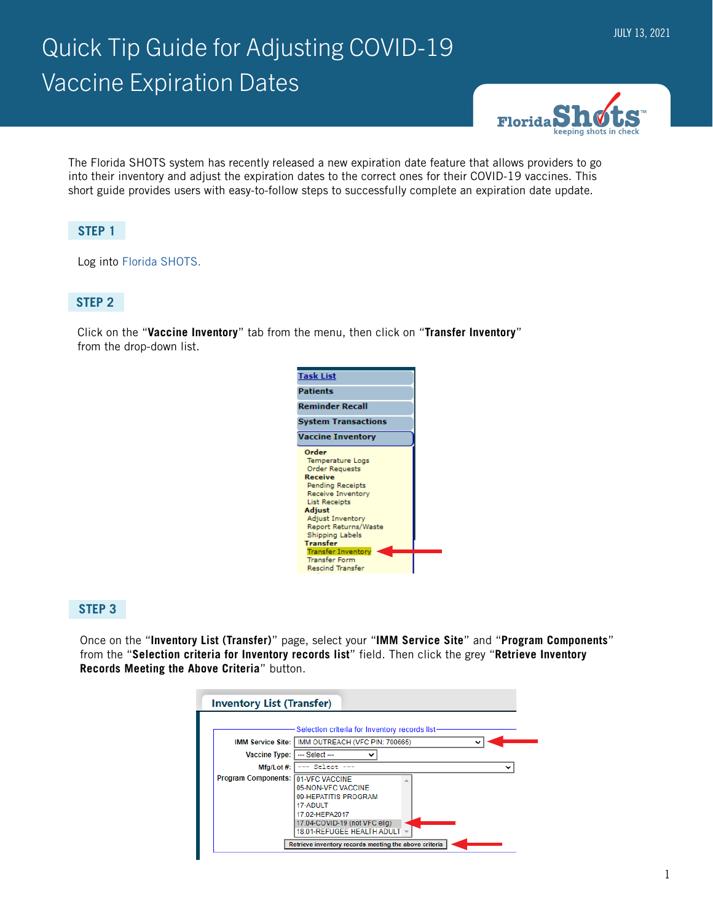# Quick Tip Guide for Adjusting COVID-19 Vaccine Expiration Dates



The Florida SHOTS system has recently released a new expiration date feature that allows providers to go into their inventory and adjust the expiration dates to the correct ones for their COVID-19 vaccines. This short guide provides users with easy-to-follow steps to successfully complete an expiration date update.

# **STEP 1**

Log into [Florida SHOTS.](https://www.flshotsusers.com/)

### **STEP 2**

Click on the "**Vaccine Inventory**" tab from the menu, then click on "**Transfer Inventory**" from the drop-down list.



### **STEP 3**

Once on the "**Inventory List (Transfer)**" page, select your "**IMM Service Site**" and "**Program Components**" from the "**Selection criteria for Inventory records list**" field. Then click the grey "**Retrieve Inventory Records Meeting the Above Criteria**" button.

|                                    | -Selection criteria for Inventory records list-                                                                                         |
|------------------------------------|-----------------------------------------------------------------------------------------------------------------------------------------|
|                                    |                                                                                                                                         |
|                                    | IMM Service Site:   IMM OUTREACH (VFC PIN: 700665)                                                                                      |
| <b>Vaccine Type:</b>               | --- Select ---                                                                                                                          |
| Mfg/Lot #:                         | --- Select                                                                                                                              |
| Program Components: 01-VFC VACCINE | 05-NON-VEC VACCINE<br>09-HEPATITIS PROGRAM<br>17-ADULT<br>17.02-HEPA2017<br>17.04-COVID-19 (not VFC elig)<br>18.01-REFUGEE HEALTH ADULT |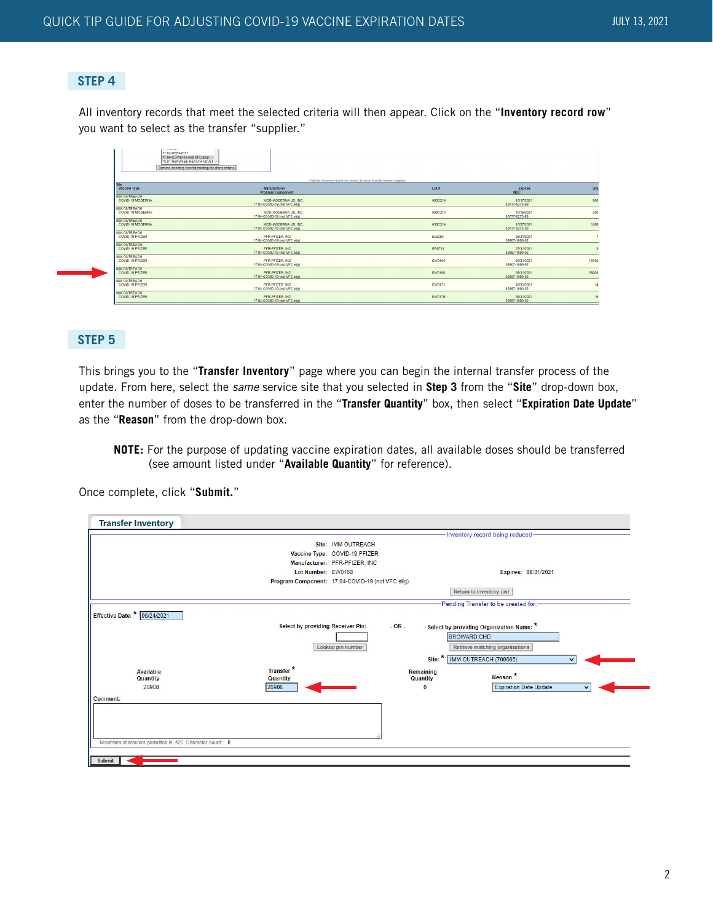#### **STEP 4**

All inventory records that meet the selected criteria will then appear. Click on the "**Inventory record row**" you want to select as the transfer "supplier."

| <b>Continued State</b><br>17.02-HEPA2017<br>17.04-COVID-19 (not VFC elig)<br>18.01-REFUGEE HEALTH ADULT<br>Retrieve inventory records meeting the above criteria |                                                                                |         |                              |       |
|------------------------------------------------------------------------------------------------------------------------------------------------------------------|--------------------------------------------------------------------------------|---------|------------------------------|-------|
| <b>Site</b>                                                                                                                                                      | Click the Inventory record row (below) to select it as the transfer 'supplier' |         |                              |       |
| Vaccine Type                                                                                                                                                     | Manufacturer<br><b>Program Component</b>                                       | Lot#    | <b>Expires</b><br><b>NDC</b> | ON    |
| <b>IMM OUTREACH</b><br>COVID-19 MODERNA                                                                                                                          | MOD-MODERNA US, INC.<br>17.04-COVID-19 (not VFC elig)                          | 003C21A | 10/17/2021<br>80777-0273-99  | 900   |
| <b>IMM OUTREACH</b><br>COVID-19 MODERNA                                                                                                                          | MOD-MODERNA US. INC.<br>17.04-COVID-19 (not VFC elig)                          | 009C21A | 10/15/2021<br>80777-0273-99  | 200   |
| <b>IMM OUTREACH</b><br>COVID-19 MODERNA                                                                                                                          | MOD-MODERNA US, INC.<br>17.04-COVID-19 (not VFC elig)                          | 033C21A | 10/27/2021<br>80777-0273-99  | 1400  |
| <b>IMM OUTREACH</b><br>COVID-19 PFIZER                                                                                                                           | PFR-PFIZER, INC.<br>17.04-COVID-19 (not VFC elig)                              | EL9262  | 05/31/2021<br>59267-1000-02  |       |
| <b>IMM OUTREACH</b><br>COVID-19 PFIZER                                                                                                                           | PFR-PFIZER, INC.<br>17.04-COVID-19 (not VFC elig)                              | ER8731  | 07/31/2021<br>59267-1000-02  |       |
| <b>IMM OUTREACH</b><br>COVID-19 PFIZER                                                                                                                           | PFR-PFIZER, INC.<br>17.04-COVID-19 (not VFC etg)                               | EW0164  | 08/31/2021<br>59267-1000-02  | 16105 |
| <b>IMM OUTREACH</b><br>COVID-19 PFIZER                                                                                                                           | PFR-PFIZER, INC.<br>17.04-COVID-19 (not VFC elig)                              | EW0168  | 08/31/2021<br>59267-1000-02  | 26908 |
| <b>IMM OUTREACH</b><br>COVID-19 PFIZER                                                                                                                           | PER-PEIZER INC.<br>17.04-COVID-19 (not VFC etg)                                | EW0171  | 08/31/2021<br>59267-1000-02  | 14    |
| <b>IMM OUTREACH</b><br>COVID-19 PFIZER                                                                                                                           | PFR-PFIZER, INC.<br>17.04-COVID-19 (not VEC alio)                              | EW0179  | 08/31/2021<br>59267-1000-02  | 15    |

#### **STEP 5**

This brings you to the "**Transfer Inventory**" page where you can begin the internal transfer process of the update. From here, select the *same* service site that you selected in **Step 3** from the "**Site**" drop-down box, enter the number of doses to be transferred in the "**Transfer Quantity**" box, then select "**Expiration Date Update**" as the "**Reason**" from the drop-down box.

**NOTE:** For the purpose of updating vaccine expiration dates, all available doses should be transferred (see amount listed under "**Available Quantity**" for reference).

Once complete, click "**Submit.**"

| <b>Transfer Inventory</b>                                |                                   |                                                  |                       |                                          |
|----------------------------------------------------------|-----------------------------------|--------------------------------------------------|-----------------------|------------------------------------------|
|                                                          |                                   |                                                  |                       | -Inventory record being reduced-         |
|                                                          |                                   | Site: IMM OUTREACH                               |                       |                                          |
|                                                          |                                   | Vaccine Type: COVID-19 PFIZER                    |                       |                                          |
|                                                          |                                   | Manufacturer: PFR-PFIZER, INC                    |                       |                                          |
|                                                          | Lot Number: EW0168                |                                                  |                       | Expires: 08/31/2021                      |
|                                                          |                                   | Program Component: 17.04-COVID-19 (not VFC elig) |                       |                                          |
|                                                          |                                   |                                                  |                       | <b>Return to Inventory List</b>          |
|                                                          |                                   |                                                  |                       | Pending Transfer to be created for:      |
| Effective Date: * 06/24/2021                             |                                   |                                                  |                       |                                          |
|                                                          | Select by providing Receiver Pin: | $-OR -$                                          |                       | Select by providing Organization Name: * |
|                                                          |                                   |                                                  |                       | <b>BROWARD CHD</b>                       |
|                                                          |                                   | Lookup pin number                                |                       | Retrieve matching organizations          |
|                                                          |                                   |                                                  | Site:                 | IMM OUTREACH (700665)<br>$\checkmark$    |
|                                                          | Transfer <sup>*</sup>             |                                                  |                       |                                          |
| Available<br>Quantity                                    | Quantity                          |                                                  | Remaining<br>Quantity | Reason <sup>*</sup>                      |
| 26908                                                    | 26908                             |                                                  | $\mathbf{0}$          | <b>Expiration Date Update</b>            |
| Comment:                                                 |                                   |                                                  |                       |                                          |
|                                                          |                                   |                                                  |                       |                                          |
|                                                          |                                   |                                                  |                       |                                          |
|                                                          |                                   |                                                  |                       |                                          |
|                                                          |                                   |                                                  |                       |                                          |
| Maximum characters permitted is: 425. Character count: 0 |                                   |                                                  |                       |                                          |
|                                                          |                                   |                                                  |                       |                                          |
| Submit                                                   |                                   |                                                  |                       |                                          |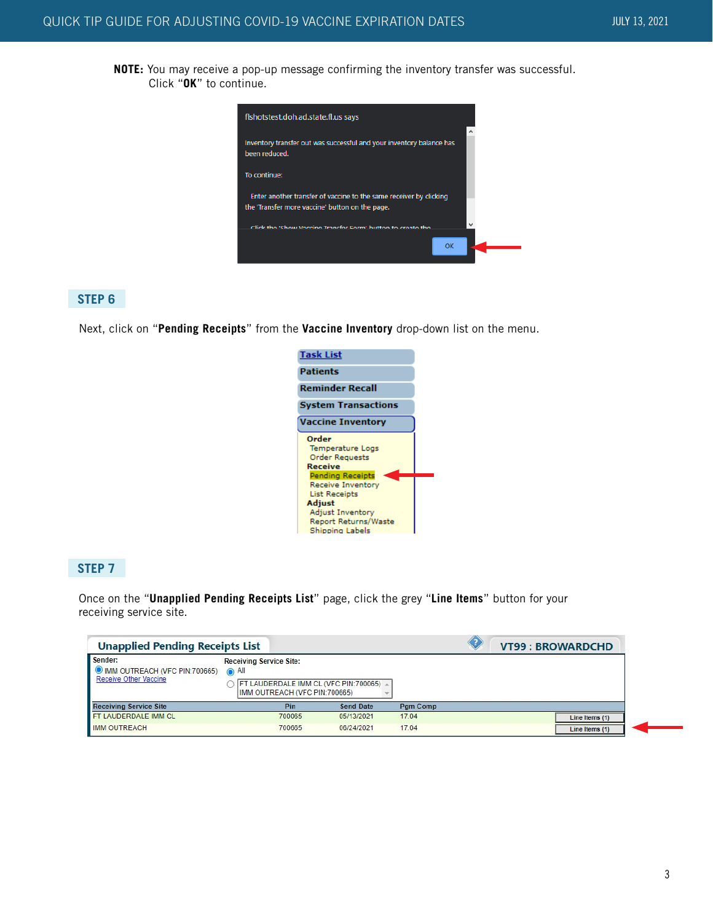**NOTE:** You may receive a pop-up message confirming the inventory transfer was successful. Click "**OK**" to continue.



#### **STEP 6**

Next, click on "**Pending Receipts**" from the **Vaccine Inventory** drop-down list on the menu.



#### **STEP 7**

Once on the "**Unapplied Pending Receipts List**" page, click the grey "**Line Items**" button for your receiving service site.

| <b>Unapplied Pending Receipts List</b>                                   |                                                                                                            |                  |                 | VT99: BROWARDCHD |
|--------------------------------------------------------------------------|------------------------------------------------------------------------------------------------------------|------------------|-----------------|------------------|
| Sender:<br>O IMM OUTREACH (VFC PIN:700665) (All<br>Receive Other Vaccine | <b>Receiving Service Site:</b><br>FT LAUDERDALE IMM CL (VFC PIN:700065) 4<br>IMM OUTREACH (VFC PIN:700665) |                  |                 |                  |
| <b>Receiving Service Site</b>                                            | Pin                                                                                                        | <b>Send Date</b> | <b>Pam Comp</b> |                  |
| <b>FT LAUDERDALE IMM CL</b>                                              | 700065                                                                                                     | 05/13/2021       | 17.04           | Line Items (1)   |
| <b>IMM OUTREACH</b>                                                      | 700665                                                                                                     | 06/24/2021       | 17.04           | Line Items (1)   |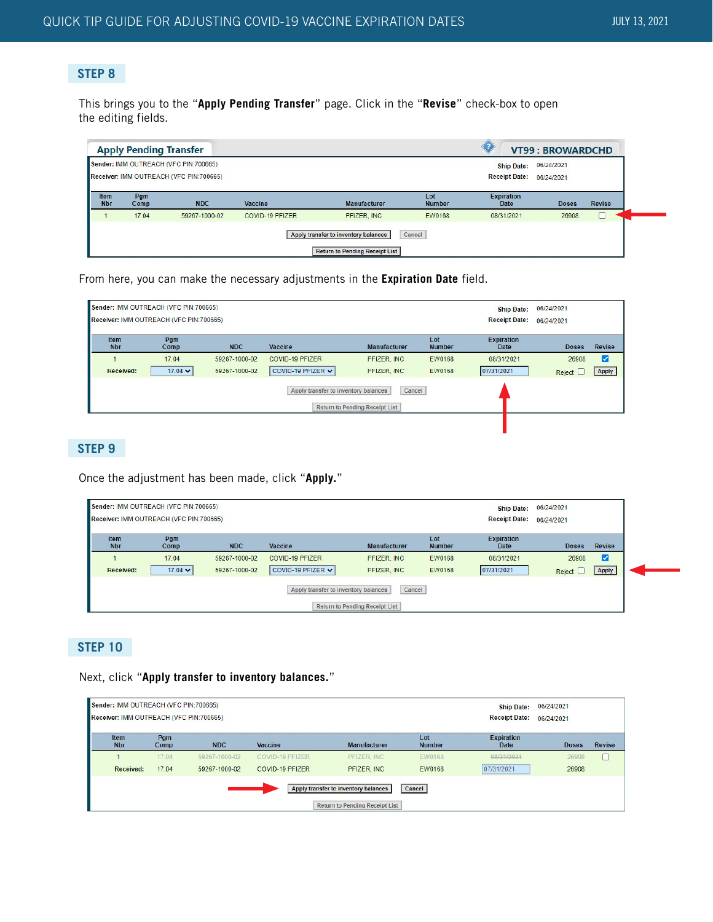# **STEP 8**

This brings you to the "**Apply Pending Transfer**" page. Click in the "**Revise**" check-box to open the editing fields.

|                    | <b>Apply Pending Transfer</b> |                                                                                  |                        |                                                                               |                      |                                           | <b>VT99: BROWARDCHD</b>  |               |
|--------------------|-------------------------------|----------------------------------------------------------------------------------|------------------------|-------------------------------------------------------------------------------|----------------------|-------------------------------------------|--------------------------|---------------|
|                    |                               | Sender: IMM OUTREACH (VFC PIN:700665)<br>Receiver: IMM OUTREACH (VFC PIN:700665) |                        |                                                                               |                      | <b>Ship Date:</b><br><b>Receipt Date:</b> | 06/24/2021<br>06/24/2021 |               |
| Item<br><b>Nbr</b> | Pgm<br>Comp                   | <b>NDC</b>                                                                       | Vaccine                | <b>Manufacturer</b>                                                           | Lot<br><b>Number</b> | <b>Expiration</b><br>Date                 | <b>Doses</b>             | <b>Revise</b> |
|                    | 17.04                         | 59267-1000-02                                                                    | <b>COVID-19 PFIZER</b> | PFIZER, INC                                                                   | <b>EW0168</b>        | 08/31/2021                                | 26908                    |               |
|                    |                               |                                                                                  |                        | Apply transfer to inventory balances<br><b>Return to Pending Receipt List</b> | Cancel               |                                           |                          |               |

From here, you can make the necessary adjustments in the **Expiration Date** field.

|                           | Sender: IMM OUTREACH (VFC PIN:700665)                                                   |               |                        |                     |                      | <b>Ship Date:</b>         | 06/24/2021   |               |  |
|---------------------------|-----------------------------------------------------------------------------------------|---------------|------------------------|---------------------|----------------------|---------------------------|--------------|---------------|--|
|                           | Receiver: IMM OUTREACH (VFC PIN:700665)                                                 |               |                        |                     |                      | <b>Receipt Date:</b>      | 06/24/2021   |               |  |
| <b>Item</b><br><b>Nbr</b> | Pgm<br>Comp                                                                             | <b>NDC</b>    | Vaccine                | <b>Manufacturer</b> | Lot<br><b>Number</b> | <b>Expiration</b><br>Date | <b>Doses</b> | <b>Revise</b> |  |
|                           | 17.04                                                                                   | 59267-1000-02 | <b>COVID-19 PFIZER</b> | PFIZER, INC         | EW0168               | 08/31/2021                | 26908        | v             |  |
| <b>Received:</b>          | $17.04 \times$                                                                          | 59267-1000-02 | COVID-19 PFIZER v      | PFIZER, INC         | <b>EW0168</b>        | 07/31/2021                | Reject L     | Apply         |  |
|                           | Cancel<br>Apply transfer to inventory balances<br><b>Return to Pending Receipt List</b> |               |                        |                     |                      |                           |              |               |  |
|                           |                                                                                         |               |                        |                     |                      |                           |              |               |  |

# **STEP 9**

Once the adjustment has been made, click "**Apply.**"

|                    | Sender: IMM OUTREACH (VFC PIN:700665)   | <b>Ship Date:</b> | 06/24/2021             |                     |                      |                           |              |        |
|--------------------|-----------------------------------------|-------------------|------------------------|---------------------|----------------------|---------------------------|--------------|--------|
|                    | Receiver: IMM OUTREACH (VFC PIN:700665) |                   |                        |                     |                      | <b>Receipt Date:</b>      | 06/24/2021   |        |
| Item<br><b>Nbr</b> | Pgm<br>Comp                             | <b>NDC</b>        | Vaccine                | <b>Manufacturer</b> | Lot<br><b>Number</b> | <b>Expiration</b><br>Date | <b>Doses</b> | Revise |
|                    | 17.04                                   | 59267-1000-02     | <b>COVID-19 PFIZER</b> | PFIZER, INC         | <b>EW0168</b>        | 08/31/2021                | 26908        | V      |
| <b>Received:</b>   | 17.04 $\times$                          | 59267-1000-02     | COVID-19 PFIZER v      | PFIZER, INC.        | EW0168               | 07/31/2021                | Reject L     | Apply  |

# **STEP 10**

Next, click "**Apply transfer to inventory balances.**"

|               | 06/24/2021   | <b>Ship Date:</b>                | Sender: IMM OUTREACH (VFC PIN:700665)   |                                                                               |                 |               |             |                    |  |  |
|---------------|--------------|----------------------------------|-----------------------------------------|-------------------------------------------------------------------------------|-----------------|---------------|-------------|--------------------|--|--|
|               | 06/24/2021   | <b>Receipt Date:</b>             | Receiver: IMM OUTREACH (VFC PIN:700665) |                                                                               |                 |               |             |                    |  |  |
| <b>Revise</b> | <b>Doses</b> | <b>Expiration</b><br><b>Date</b> | Lot<br><b>Number</b>                    | <b>Manufacturer</b>                                                           | Vaccine         | <b>NDC</b>    | Pgm<br>Comp | Item<br><b>Nbr</b> |  |  |
|               | 26908        | 08/31/2021                       | EW0168                                  | PFIZER, INC.                                                                  | COVID-19 PFIZER | 59267-1000-02 | 17.04       |                    |  |  |
|               | 26908        | 07/31/2021                       | <b>EW0168</b>                           | PFIZER, INC.                                                                  | COVID-19 PFIZER | 59267-1000-02 | 17.04       | Received:          |  |  |
|               |              |                                  | Cancel                                  | Apply transfer to inventory balances<br><b>Return to Pending Receipt List</b> |                 |               |             |                    |  |  |